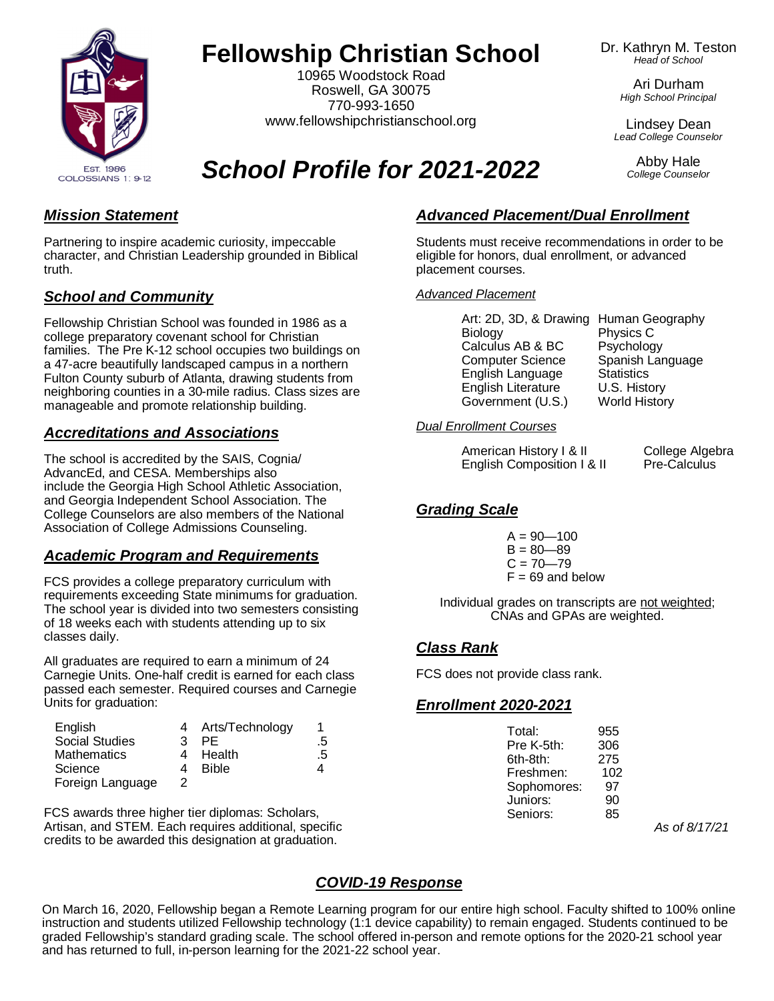

# **Fellowship Christian School**

10965 Woodstock Road Roswell, GA 30075 770-993-1650 [www.fellowshipchristianschool.org](http://www.fellowshipchristianschool.org)

#### Dr. Kathryn M. Teston *Head of School*

Ari Durham *High School Principal*

Lindsey Dean *Lead College Counselor*

> Abby Hale *College Counselor*

COLOSSIANS 1: 9-12

*School Profile for 2021-2022*

## *Mission Statement*

Partnering to inspire academic curiosity, impeccable character, and Christian Leadership grounded in Biblical truth.

## *School and Community*

Fellowship Christian School was founded in 1986 as a college preparatory covenant school for Christian families. The Pre K-12 school occupies two buildings on a 47-acre beautifully landscaped campus in a northern Fulton County suburb of Atlanta, drawing students from neighboring counties in a 30-mile radius. Class sizes are manageable and promote relationship building.

## *Accreditations and Associations*

The school is accredited by the SAIS, Cognia/ AdvancEd, and CESA. Memberships also include the Georgia High School Athletic Association, and Georgia Independent School Association. The College Counselors are also members of the National Association of College Admissions Counseling.

## *Academic Program and Requirements*

FCS provides a college preparatory curriculum with requirements exceeding State minimums for graduation. The school year is divided into two semesters consisting of 18 weeks each with students attending up to six classes daily.

All graduates are required to earn a minimum of 24 Carnegie Units. One-half credit is earned for each class passed each semester. Required courses and Carnegie Units for graduation:

| English               |   | 4 Arts/Technology |    |
|-----------------------|---|-------------------|----|
| <b>Social Studies</b> | વ | PF                | .5 |
| <b>Mathematics</b>    |   | Health            | .5 |
| Science               |   | <b>Bible</b>      |    |
| Foreign Language      |   |                   |    |

FCS awards three higher tier diplomas: Scholars, Artisan, and STEM. Each requires additional, specific credits to be awarded this designation at graduation.

## *Advanced Placement/Dual Enrollment*

Students must receive recommendations in order to be eligible for honors, dual enrollment, or advanced placement courses.

#### *Advanced Placement*

| Art: 2D, 3D, & Drawing Human Geography |                      |
|----------------------------------------|----------------------|
| Biology                                | Physics C            |
| Calculus AB & BC                       | Psychology           |
| <b>Computer Science</b>                | Spanish Language     |
| English Language                       | <b>Statistics</b>    |
| English Literature                     | U.S. History         |
| Government (U.S.)                      | <b>World History</b> |

#### *Dual Enrollment Courses*

| American History I & II    | С |
|----------------------------|---|
| English Composition I & II | P |

ollege Algebra re-Calculus

## *Grading Scale*

 $A = 90 - 100$  $B = 80 - 89$  $C = 70 - 79$  $F = 69$  and below

Individual grades on transcripts are not weighted; CNAs and GPAs are weighted.

## *Class Rank*

FCS does not provide class rank.

## *Enrollment 2020-2021*

| Total:   | 955               |
|----------|-------------------|
|          | Pre K-5th:<br>306 |
| 6th-8th: | 275               |
|          | Freshmen:<br>102  |
|          | Sophomores:<br>97 |
| Juniors: | 90                |
|          | Seniors:<br>85    |
|          |                   |

*As of 8/17/21*

## *COVID-19 Response*

On March 16, 2020, Fellowship began a Remote Learning program for our entire high school. Faculty shifted to 100% online instruction and students utilized Fellowship technology (1:1 device capability) to remain engaged. Students continued to be graded Fellowship's standard grading scale. The school offered in-person and remote options for the 2020-21 school year and has returned to full, in-person learning for the 2021-22 school year.